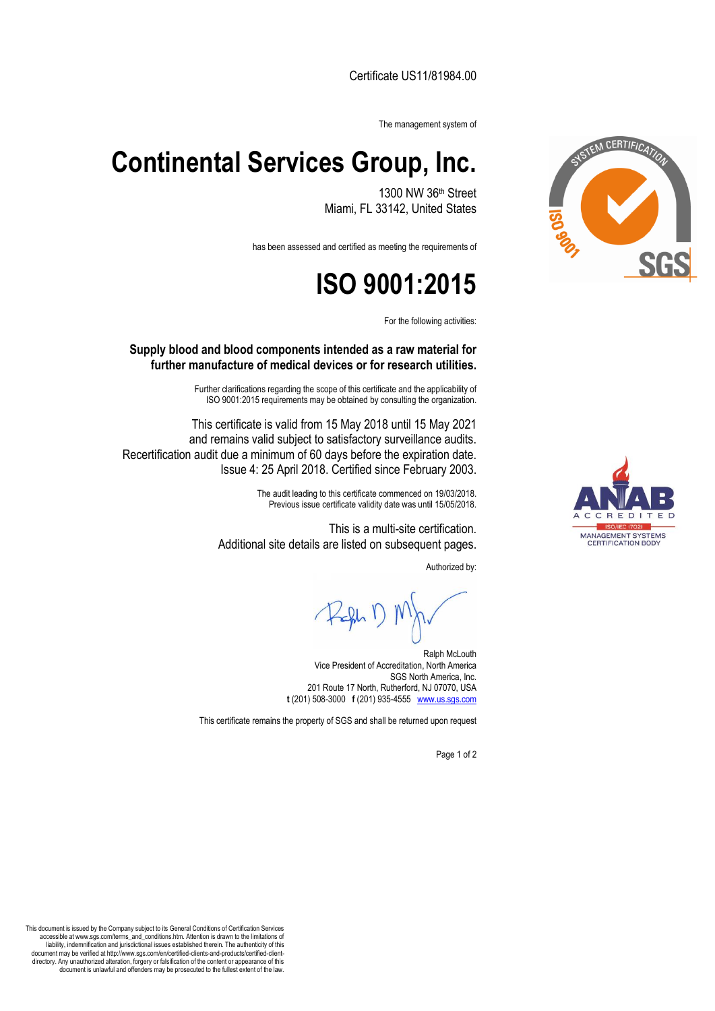Certificate US11/81984.00

The management system of

## **Continental Services Group, Inc.**

1300 NW 36th Street Miami, FL 33142, United States

has been assessed and certified as meeting the requirements of

## **ISO 9001:2015**

For the following activities:

## **Supply blood and blood components intended as a raw material for further manufacture of medical devices or for research utilities.**

Further clarifications regarding the scope of this certificate and the applicability of ISO 9001:2015 requirements may be obtained by consulting the organization.

This certificate is valid from 15 May 2018 until 15 May 2021 and remains valid subject to satisfactory surveillance audits. Recertification audit due a minimum of 60 days before the expiration date. Issue 4: 25 April 2018. Certified since February 2003.

> The audit leading to this certificate commenced on 19/03/2018. Previous issue certificate validity date was until 15/05/2018.

This is a multi-site certification. Additional site details are listed on subsequent pages.

Authorized by:

Ralph McLouth Vice President of Accreditation, North America SGS North America, Inc. 201 Route 17 North, Rutherford, NJ 07070, USA **t** (201) 508-3000 **f** (201) 935-4555 [www.us.sgs.com](http://www.us.sgs.com/)

This certificate remains the property of SGS and shall be returned upon request

Page 1 of 2



MANAGEMENT SYSTEMS<br>CERTIFICATION BODY

This document is issued by the Company subject to its General Conditions of Certification Services accessible at www.sgs.com/terms\_and\_conditions.htm. Attention is drawn to the limitations of liability, indemnification and jurisdictional issues established therein. The authenticity of this document may be verified at http://www.sgs.com/en/certified-clients-and-products/certified-clientdirectory. Any unauthorized alteration, forgery or falsification of the content or appearance of this document is unlawful and offenders may be prosecuted to the fullest extent of the law.